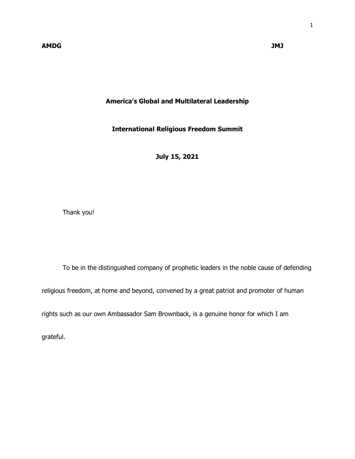## **America's Global and Multilateral Leadership**

**International Religious Freedom Summit**

**July 15, 2021**

Thank you!

To be in the distinguished company of prophetic leaders in the noble cause of defending

religious freedom, at home and beyond, convened by a great patriot and promoter of human

rights such as our own Ambassador Sam Brownback, is a genuine honor for which I am

grateful.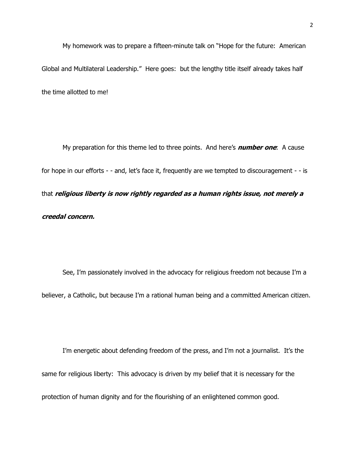My homework was to prepare a fifteen-minute talk on "Hope for the future: American Global and Multilateral Leadership." Here goes: but the lengthy title itself already takes half the time allotted to me!

My preparation for this theme led to three points. And here's **number one**: A cause for hope in our efforts - - and, let's face it, frequently are we tempted to discouragement - - is that **religious liberty is now rightly regarded as a human rights issue, not merely a creedal concern.**

See, I'm passionately involved in the advocacy for religious freedom not because I'm a believer, a Catholic, but because I'm a rational human being and a committed American citizen.

I'm energetic about defending freedom of the press, and I'm not a journalist. It's the same for religious liberty: This advocacy is driven by my belief that it is necessary for the protection of human dignity and for the flourishing of an enlightened common good.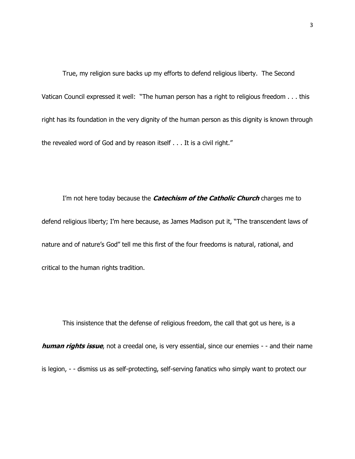True, my religion sure backs up my efforts to defend religious liberty. The Second Vatican Council expressed it well: "The human person has a right to religious freedom . . . this right has its foundation in the very dignity of the human person as this dignity is known through the revealed word of God and by reason itself . . . It is a civil right."

I'm not here today because the **Catechism of the Catholic Church** charges me to defend religious liberty; I'm here because, as James Madison put it, "The transcendent laws of nature and of nature's God" tell me this first of the four freedoms is natural, rational, and critical to the human rights tradition.

This insistence that the defense of religious freedom, the call that got us here, is a **human rights issue**, not a creedal one, is very essential, since our enemies - - and their name is legion, - - dismiss us as self-protecting, self-serving fanatics who simply want to protect our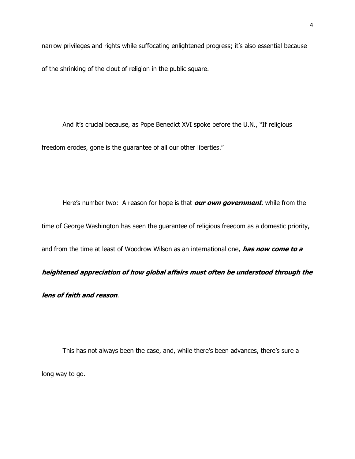narrow privileges and rights while suffocating enlightened progress; it's also essential because

of the shrinking of the clout of religion in the public square.

And it's crucial because, as Pope Benedict XVI spoke before the U.N., "If religious freedom erodes, gone is the guarantee of all our other liberties."

Here's number two: A reason for hope is that **our own government**, while from the time of George Washington has seen the guarantee of religious freedom as a domestic priority, and from the time at least of Woodrow Wilson as an international one, **has now come to a heightened appreciation of how global affairs must often be understood through the** 

**lens of faith and reason**.

This has not always been the case, and, while there's been advances, there's sure a long way to go.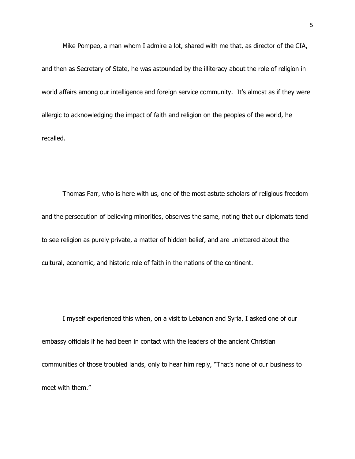Mike Pompeo, a man whom I admire a lot, shared with me that, as director of the CIA, and then as Secretary of State, he was astounded by the illiteracy about the role of religion in world affairs among our intelligence and foreign service community. It's almost as if they were allergic to acknowledging the impact of faith and religion on the peoples of the world, he recalled.

Thomas Farr, who is here with us, one of the most astute scholars of religious freedom and the persecution of believing minorities, observes the same, noting that our diplomats tend to see religion as purely private, a matter of hidden belief, and are unlettered about the cultural, economic, and historic role of faith in the nations of the continent.

I myself experienced this when, on a visit to Lebanon and Syria, I asked one of our embassy officials if he had been in contact with the leaders of the ancient Christian communities of those troubled lands, only to hear him reply, "That's none of our business to meet with them."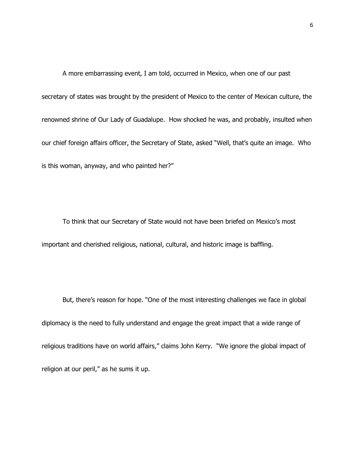A more embarrassing event, I am told, occurred in Mexico, when one of our past secretary of states was brought by the president of Mexico to the center of Mexican culture, the renowned shrine of Our Lady of Guadalupe. How shocked he was, and probably, insulted when our chief foreign affairs officer, the Secretary of State, asked "Well, that's quite an image. Who is this woman, anyway, and who painted her?"

To think that our Secretary of State would not have been briefed on Mexico's most important and cherished religious, national, cultural, and historic image is baffling.

But, there's reason for hope. "One of the most interesting challenges we face in global diplomacy is the need to fully understand and engage the great impact that a wide range of religious traditions have on world affairs," claims John Kerry. "We ignore the global impact of religion at our peril," as he sums it up.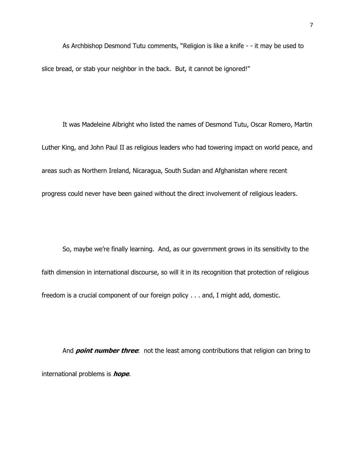As Archbishop Desmond Tutu comments, "Religion is like a knife - - it may be used to slice bread, or stab your neighbor in the back. But, it cannot be ignored!"

It was Madeleine Albright who listed the names of Desmond Tutu, Oscar Romero, Martin Luther King, and John Paul II as religious leaders who had towering impact on world peace, and areas such as Northern Ireland, Nicaragua, South Sudan and Afghanistan where recent progress could never have been gained without the direct involvement of religious leaders.

So, maybe we're finally learning. And, as our government grows in its sensitivity to the faith dimension in international discourse, so will it in its recognition that protection of religious freedom is a crucial component of our foreign policy . . . and, I might add, domestic.

And **point number three**: not the least among contributions that religion can bring to international problems is **hope**.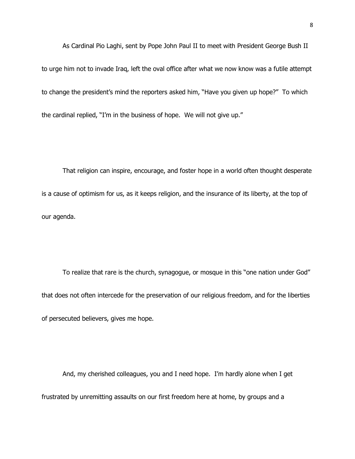As Cardinal Pio Laghi, sent by Pope John Paul II to meet with President George Bush II to urge him not to invade Iraq, left the oval office after what we now know was a futile attempt to change the president's mind the reporters asked him, "Have you given up hope?" To which the cardinal replied, "I'm in the business of hope. We will not give up."

That religion can inspire, encourage, and foster hope in a world often thought desperate is a cause of optimism for us, as it keeps religion, and the insurance of its liberty, at the top of our agenda.

To realize that rare is the church, synagogue, or mosque in this "one nation under God" that does not often intercede for the preservation of our religious freedom, and for the liberties of persecuted believers, gives me hope.

And, my cherished colleagues, you and I need hope. I'm hardly alone when I get frustrated by unremitting assaults on our first freedom here at home, by groups and a